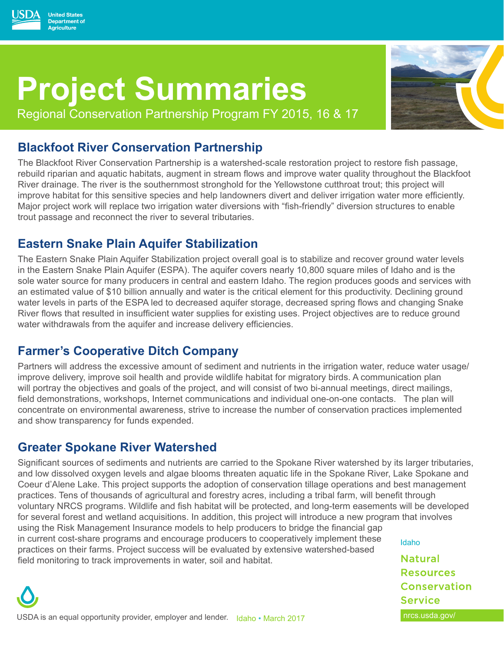

Regional Conservation Partnership Program FY 2015, 16 & 17

## **Blackfoot River Conservation Partnership**

**United States Department of Agriculture** 

The Blackfoot River Conservation Partnership is a watershed-scale restoration project to restore fish passage, rebuild riparian and aquatic habitats, augment in stream flows and improve water quality throughout the Blackfoot River drainage. The river is the southernmost stronghold for the Yellowstone cutthroat trout; this project will improve habitat for this sensitive species and help landowners divert and deliver irrigation water more efficiently. Major project work will replace two irrigation water diversions with "fish-friendly" diversion structures to enable trout passage and reconnect the river to several tributaries.

# **Eastern Snake Plain Aquifer Stabilization**

The Eastern Snake Plain Aquifer Stabilization project overall goal is to stabilize and recover ground water levels in the Eastern Snake Plain Aquifer (ESPA). The aquifer covers nearly 10,800 square miles of Idaho and is the sole water source for many producers in central and eastern Idaho. The region produces goods and services with an estimated value of \$10 billion annually and water is the critical element for this productivity. Declining ground water levels in parts of the ESPA led to decreased aquifer storage, decreased spring flows and changing Snake River flows that resulted in insufficient water supplies for existing uses. Project objectives are to reduce ground water withdrawals from the aquifer and increase delivery efficiencies.

## **Farmer's Cooperative Ditch Company**

Partners will address the excessive amount of sediment and nutrients in the irrigation water, reduce water usage/ improve delivery, improve soil health and provide wildlife habitat for migratory birds. A communication plan will portray the objectives and goals of the project, and will consist of two bi-annual meetings, direct mailings, field demonstrations, workshops, Internet communications and individual one-on-one contacts. The plan will concentrate on environmental awareness, strive to increase the number of conservation practices implemented and show transparency for funds expended.

# **Greater Spokane River Watershed**

Significant sources of sediments and nutrients are carried to the Spokane River watershed by its larger tributaries, and low dissolved oxygen levels and algae blooms threaten aquatic life in the Spokane River, Lake Spokane and Coeur d'Alene Lake. This project supports the adoption of conservation tillage operations and best management practices. Tens of thousands of agricultural and forestry acres, including a tribal farm, will benefit through voluntary NRCS programs. Wildlife and fish habitat will be protected, and long-term easements will be developed for several forest and wetland acquisitions. In addition, this project will introduce a new program that involves using the Risk Management Insurance models to help producers to bridge the financial gap in current cost-share programs and encourage producers to cooperatively implement these Idaho practices on their farms. Project success will be evaluated by extensive watershed-based **Natural** field monitoring to track improvements in water, soil and habitat.

USDA is an equal opportunity provider, employer and lender. Idaho • March 2017 The Context of the Susda.gov/

**Resources** Conservation

**Service**